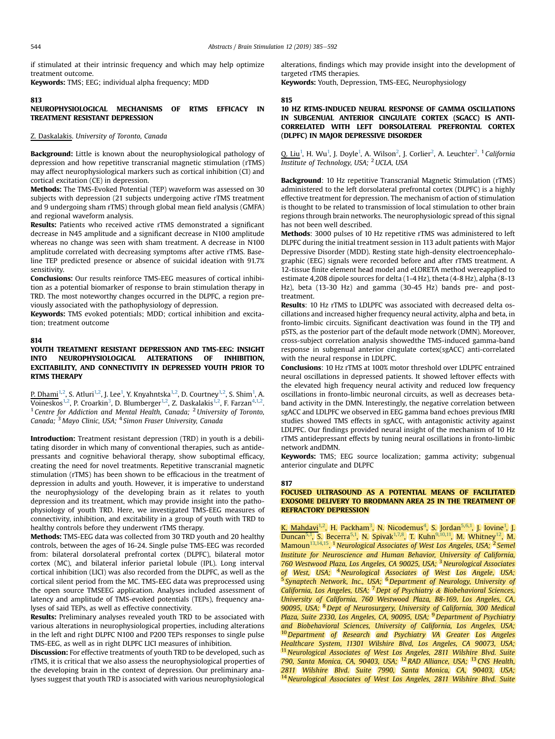if stimulated at their intrinsic frequency and which may help optimize treatment outcome.

Keywords: TMS; EEG; individual alpha frequency; MDD

### 813

## NEUROPHYSIOLOGICAL MECHANISMS OF RTMS EFFICACY IN TREATMENT RESISTANT DEPRESSION

# Z. Daskalakis. University of Toronto, Canada

**Background:** Little is known about the neurophysiological pathology of depression and how repetitive transcranial magnetic stimulation (rTMS) may affect neurophysiological markers such as cortical inhibition (CI) and cortical excitation (CE) in depression.

Methods: The TMS-Evoked Potential (TEP) waveform was assessed on 30 subjects with depression (21 subjects undergoing active rTMS treatment and 9 undergoing sham rTMS) through global mean field analysis (GMFA) and regional waveform analysis.

Results: Patients who received active rTMS demonstrated a significant decrease in N45 amplitude and a significant decrease in N100 amplitude whereas no change was seen with sham treatment. A decrease in N100 amplitude correlated with decreasing symptoms after active rTMS. Baseline TEP predicted presence or absence of suicidal ideation with 91.7% sensitivity.

Conclusions: Our results reinforce TMS-EEG measures of cortical inhibition as a potential biomarker of response to brain stimulation therapy in TRD. The most noteworthy changes occurred in the DLPFC, a region previously associated with the pathophysiology of depression.

Keywords: TMS evoked potentials; MDD; cortical inhibition and excitation; treatment outcome

# 814

## YOUTH TREATMENT RESISTANT DEPRESSION AND TMS-EEG: INSIGHT INTO NEUROPHYSIOLOGICAL ALTERATIONS OF INHIBITION, EXCITABILITY, AND CONNECTIVITY IN DEPRESSED YOUTH PRIOR TO RTMS THERAPY

P. Dhami<sup>1,2</sup>, S. Atluri<sup>1,2</sup>, J. Lee<sup>1</sup>, Y. Knyahntska<sup>1,2</sup>, D. Courtney<sup>1,2</sup>, S. Shim<sup>1</sup>, A.  $\overline{\text{Voineskos}^{1,2}}$ , P. Croarkin $^3$ , D. Blumberger $^{1,2}$ , Z. Daskalakis $^{1,2}$ , F. Farzan $^{4,1,2}$ . <sup>1</sup> Centre for Addiction and Mental Health, Canada; <sup>2</sup> University of Toronto, Canada; <sup>3</sup> Mayo Clinic, USA; <sup>4</sup> Simon Fraser University, Canada

Introduction: Treatment resistant depression (TRD) in youth is a debilitating disorder in which many of conventional therapies, such as antidepressants and cognitive behavioral therapy, show suboptimal efficacy, creating the need for novel treatments. Repetitive transcranial magnetic stimulation (rTMS) has been shown to be efficacious in the treatment of depression in adults and youth. However, it is imperative to understand the neurophysiology of the developing brain as it relates to youth depression and its treatment, which may provide insight into the pathophysiology of youth TRD. Here, we investigated TMS-EEG measures of connectivity, inhibition, and excitability in a group of youth with TRD to healthy controls before they underwent rTMS therapy.

Methods: TMS-EEG data was collected from 30 TRD youth and 20 healthy controls, between the ages of 16-24. Single pulse TMS-EEG was recorded from: bilateral dorsolateral prefrontal cortex (DLPFC), bilateral motor cortex (MC), and bilateral inferior parietal lobule (IPL). Long interval cortical inhibition (LICI) was also recorded from the DLPFC, as well as the cortical silent period from the MC. TMS-EEG data was preprocessed using the open source TMSEEG application. Analyses included assessment of latency and amplitude of TMS-evoked potentials (TEPs), frequency analyses of said TEPs, as well as effective connectivity.

Results: Preliminary analyses revealed youth TRD to be associated with various alterations in neurophysiological properties, including alterations in the left and right DLPFC N100 and P200 TEPs responses to single pulse TMS-EEG, as well as in right DLPFC LICI measures of inhibition.

Discussion: For effective treatments of youth TRD to be developed, such as rTMS, it is critical that we also assess the neurophysiological properties of the developing brain in the context of depression. Our preliminary analyses suggest that youth TRD is associated with various neurophysiological alterations, findings which may provide insight into the development of targeted rTMS therapies.

Keywords: Youth, Depression, TMS-EEG, Neurophysiology

### 815

# 10 HZ RTMS-INDUCED NEURAL RESPONSE OF GAMMA OSCILLATIONS IN SUBGENUAL ANTERIOR CINGULATE CORTEX (SGACC) IS ANTI-CORRELATED WITH LEFT DORSOLATERAL PREFRONTAL CORTEX (DLPFC) IN MAJOR DEPRESSIVE DISORDER

Q. Liu<sup>1</sup>, H. Wu<sup>1</sup>, J. Doyle<sup>1</sup>, A. Wilson<sup>2</sup>, J. Corlier<sup>2</sup>, A. Leuchter<sup>2</sup>. <sup>1</sup> California Institute of Technology, USA;  $2$  UCLA, USA

Background: 10 Hz repetitive Transcranial Magnetic Stimulation (rTMS) administered to the left dorsolateral prefrontal cortex (DLPFC) is a highly effective treatment for depression. The mechanism of action of stimulation is thought to be related to transmission of local stimulation to other brain regions through brain networks. The neurophysiologic spread of this signal has not been well described.

Methods: 3000 pulses of 10 Hz repetitive rTMS was administered to left DLPFC during the initial treatment session in 113 adult patients with Major Depressive Disorder (MDD). Resting state high-density electroencephalographic (EEG) signals were recorded before and after rTMS treatment. A 12-tissue finite element head model and eLORETA method wereapplied to estimate 4,208 dipole sources for delta (1-4 Hz), theta (4-8 Hz), alpha (8-13 Hz), beta (13-30 Hz) and gamma (30-45 Hz) bands pre- and posttreatment.

Results: 10 Hz rTMS to LDLPFC was associated with decreased delta oscillations and increased higher frequency neural activity, alpha and beta, in fronto-limbic circuits. Significant deactivation was found in the TPJ and pSTS, as the posterior part of the default mode network (DMN). Moreover, cross-subject correlation analysis showedthe TMS-induced gamma-band response in subgenual anterior cingulate cortex(sgACC) anti-correlated with the neural response in LDLPFC.

Conclusions: 10 Hz rTMS at 100% motor threshold over LDLPFC entrained neural oscillations in depressed patients. It showed leftover effects with the elevated high frequency neural activity and reduced low frequency oscillations in fronto-limbic neuronal circuits, as well as decreases betaband activity in the DMN. Interestingly, the negative correlation between sgACC and LDLPFC we observed in EEG gamma band echoes previous fMRI studies showed TMS effects in sgACC, with antagonistic activity against LDLPFC. Our findings provided neural insight of the mechanism of 10 Hz rTMS antidepressant effects by tuning neural oscillations in fronto-limbic network andDMN.

Keywords: TMS; EEG source localization; gamma activity; subgenual anterior cingulate and DLPFC

### 817

### FOCUSED ULTRASOUND AS A POTENTIAL MEANS OF FACILITATED EXOSOME DELIVERY TO BRODMANN AREA 25 IN THE TREATMENT OF REFRACTORY DEPRESSION

K. Mahdavi<sup>1,2</sup>, H. Packham<sup>3</sup>, N. Nicodemus<sup>4</sup>, S. Jordan<sup>5,6,1</sup>, J. Iovine<sup>1</sup>, J.  $\overline{\text{Duncan}^{5,1}}$ , S. Becerra<sup>5,1</sup>, N. Spivak<sup>1,7,8</sup>, T. Kuhn<sup>9,10,11</sup>, M. Whitney<sup>12</sup>, M. Mamoun<sup>13,14,15</sup>. <sup>1</sup>Neurological Associates of West Los Angeles, USA; <sup>2</sup> Semel Institute for Neuroscience and Human Behavior, University of California, 760 Westwood Plaza, Los Angeles, CA 90025, USA; <sup>3</sup> Neurological Associates of West, USA; <sup>4</sup>Neurological Associates of West Los Angele, USA; <sup>5</sup> Synaptech Network, Inc., USA; <sup>6</sup> Department of Neurology, University of California, Los Angeles, USA; <sup>7</sup> Dept of Psychiatry & Biobehavioral Sciences, University of California, 760 Westwood Plaza, B8-169, Los Angeles, CA, 90095, USA; <sup>8</sup>Dept of Neurosurgery, University of California, 300 Medical Plaza, Suite 2330, Los Angeles, CA, 90095, USA; <sup>9</sup>Department of Psychiatry and Biobehavioral Sciences, University of California, Los Angeles, USA; <sup>10</sup> Department of Research and Psychiatry VA Greater Los Angeles Healthcare System, 11301 Wilshire Blvd, Los Angeles, CA 90073, USA; <sup>11</sup> Neurological Associates of West Los Angeles, 2811 Wilshire Blvd. Suite 790, Santa Monica, CA, 90403, USA; <sup>12</sup> RAD Alliance, USA; <sup>13</sup> CNS Health, 2811 Wilshire Blvd. Suite 7990, Santa Monica, CA, 90403, USA; <sup>14</sup> Neurological Associates of West Los Angeles, 2811 Wilshire Blvd. Suite